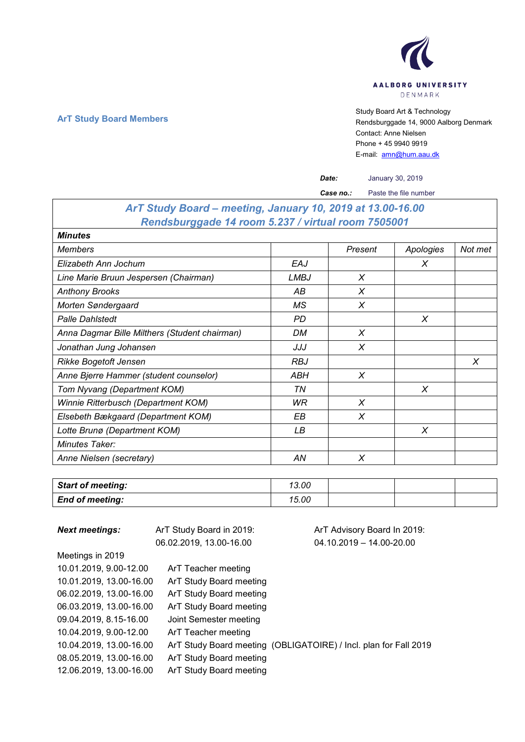

**ArT Study Board Members**<br>ArT Study Board Members<br>Rendsburggade 14, 9000 Aalboard Art & Technology Rendsburggade 14, 9000 Aalborg Denmark Contact: Anne Nielsen Phone + 45 9940 9919 E-mail: [amn@hum.aau.dk](mailto:amn@hum.aau.dk)

|                                                            |             | Date:     | January 30, 2019      |         |
|------------------------------------------------------------|-------------|-----------|-----------------------|---------|
|                                                            |             | Case no.: | Paste the file number |         |
| ArT Study Board - meeting, January 10, 2019 at 13.00-16.00 |             |           |                       |         |
| Rendsburggade 14 room 5.237 / virtual room 7505001         |             |           |                       |         |
| <b>Minutes</b>                                             |             |           |                       |         |
| Members                                                    |             | Present   | Apologies             | Not met |
| Elizabeth Ann Jochum                                       | EAJ         |           | X                     |         |
| Line Marie Bruun Jespersen (Chairman)                      | <b>LMBJ</b> | X         |                       |         |
| Anthony Brooks                                             | АB          | X         |                       |         |
| Morten Søndergaard                                         | МS          | X         |                       |         |
| <b>Palle Dahistedt</b>                                     | <b>PD</b>   |           | X                     |         |
| Anna Dagmar Bille Milthers (Student chairman)              | DM          | X         |                       |         |
| Jonathan Jung Johansen                                     | JJJ         | X         |                       |         |
| Rikke Bogetoft Jensen                                      | <b>RBJ</b>  |           |                       | X       |
| Anne Bjerre Hammer (student counselor)                     | ABH         | X         |                       |         |
| Tom Nyvang (Department KOM)                                | ΤN          |           | X                     |         |
| Winnie Ritterbusch (Department KOM)                        | WR          | X         |                       |         |
| Elsebeth Bækgaard (Department KOM)                         | EВ          | X         |                       |         |
| Lotte Brunø (Department KOM)                               | LВ          |           | X                     |         |
| Minutes Taker:                                             |             |           |                       |         |
| Anne Nielsen (secretary)                                   | AN          | X         |                       |         |

| <b>Start of meeting:</b> | 13.00 |  |  |
|--------------------------|-------|--|--|
| <b>End of meeting:</b>   | 15.00 |  |  |

| <b>Next meetings:</b>   | ArT Study Board in 2019: | ArT Advisory Board In 2019:                                      |  |  |
|-------------------------|--------------------------|------------------------------------------------------------------|--|--|
|                         | 06.02.2019, 13.00-16.00  | $04.10.2019 - 14.00 - 20.00$                                     |  |  |
| Meetings in 2019        |                          |                                                                  |  |  |
| 10.01.2019, 9.00-12.00  | ArT Teacher meeting      |                                                                  |  |  |
| 10.01.2019, 13.00-16.00 | ArT Study Board meeting  |                                                                  |  |  |
| 06.02.2019, 13.00-16.00 | ArT Study Board meeting  |                                                                  |  |  |
| 06.03.2019, 13.00-16.00 | ArT Study Board meeting  |                                                                  |  |  |
| 09.04.2019, 8.15-16.00  | Joint Semester meeting   |                                                                  |  |  |
| 10.04.2019. 9.00-12.00  | ArT Teacher meeting      |                                                                  |  |  |
| 10.04.2019. 13.00-16.00 |                          | ArT Study Board meeting (OBLIGATOIRE) / Incl. plan for Fall 2019 |  |  |
| 08.05.2019, 13.00-16.00 | ArT Study Board meeting  |                                                                  |  |  |
| 12.06.2019, 13.00-16.00 | ArT Study Board meeting  |                                                                  |  |  |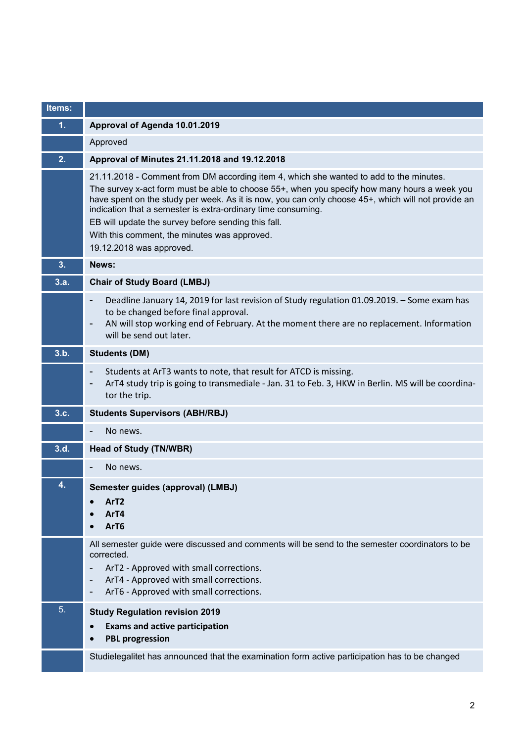| Items: |                                                                                                                                                                                                                                                                                                                                                                                                                                                                                                 |
|--------|-------------------------------------------------------------------------------------------------------------------------------------------------------------------------------------------------------------------------------------------------------------------------------------------------------------------------------------------------------------------------------------------------------------------------------------------------------------------------------------------------|
| 1.     | Approval of Agenda 10.01.2019                                                                                                                                                                                                                                                                                                                                                                                                                                                                   |
|        | Approved                                                                                                                                                                                                                                                                                                                                                                                                                                                                                        |
| 2.     | Approval of Minutes 21.11.2018 and 19.12.2018                                                                                                                                                                                                                                                                                                                                                                                                                                                   |
|        | 21.11.2018 - Comment from DM according item 4, which she wanted to add to the minutes.<br>The survey x-act form must be able to choose 55+, when you specify how many hours a week you<br>have spent on the study per week. As it is now, you can only choose 45+, which will not provide an<br>indication that a semester is extra-ordinary time consuming.<br>EB will update the survey before sending this fall.<br>With this comment, the minutes was approved.<br>19.12.2018 was approved. |
| 3.     | News:                                                                                                                                                                                                                                                                                                                                                                                                                                                                                           |
| 3.a.   | <b>Chair of Study Board (LMBJ)</b>                                                                                                                                                                                                                                                                                                                                                                                                                                                              |
|        | Deadline January 14, 2019 for last revision of Study regulation 01.09.2019. - Some exam has<br>$\overline{\phantom{a}}$<br>to be changed before final approval.<br>AN will stop working end of February. At the moment there are no replacement. Information<br>$\overline{\phantom{a}}$<br>will be send out later.                                                                                                                                                                             |
| 3.b.   | <b>Students (DM)</b>                                                                                                                                                                                                                                                                                                                                                                                                                                                                            |
|        | Students at ArT3 wants to note, that result for ATCD is missing.<br>$\overline{\phantom{a}}$<br>ArT4 study trip is going to transmediale - Jan. 31 to Feb. 3, HKW in Berlin. MS will be coordina-<br>$\overline{\phantom{0}}$<br>tor the trip.                                                                                                                                                                                                                                                  |
| 3.c.   | <b>Students Supervisors (ABH/RBJ)</b>                                                                                                                                                                                                                                                                                                                                                                                                                                                           |
|        | No news.<br>$\overline{\phantom{a}}$                                                                                                                                                                                                                                                                                                                                                                                                                                                            |
| 3.d.   | <b>Head of Study (TN/WBR)</b>                                                                                                                                                                                                                                                                                                                                                                                                                                                                   |
|        | No news.                                                                                                                                                                                                                                                                                                                                                                                                                                                                                        |
| 4.     | Semester guides (approval) (LMBJ)<br>ArT <sub>2</sub><br>ArT4<br>ArT6                                                                                                                                                                                                                                                                                                                                                                                                                           |
|        | All semester guide were discussed and comments will be send to the semester coordinators to be<br>corrected.<br>ArT2 - Approved with small corrections.<br>ArT4 - Approved with small corrections.<br>$\overline{a}$<br>ArT6 - Approved with small corrections.<br>-                                                                                                                                                                                                                            |
| 5.     | <b>Study Regulation revision 2019</b>                                                                                                                                                                                                                                                                                                                                                                                                                                                           |
|        | <b>Exams and active participation</b><br>$\bullet$<br><b>PBL progression</b>                                                                                                                                                                                                                                                                                                                                                                                                                    |
|        | Studielegalitet has announced that the examination form active participation has to be changed                                                                                                                                                                                                                                                                                                                                                                                                  |